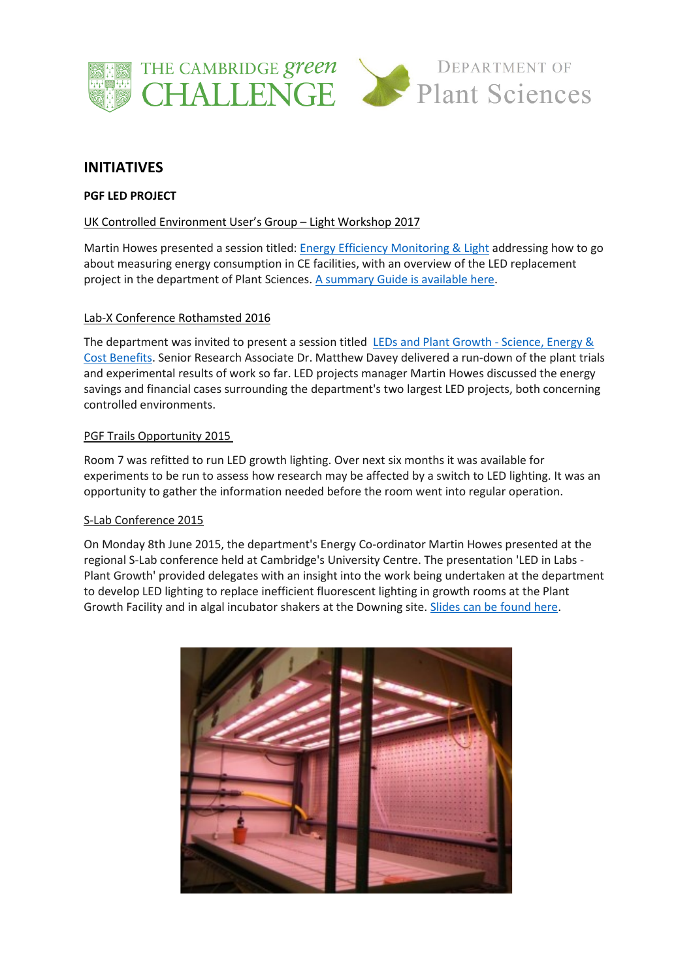



# **INITIATIVES**

# **PGF LED PROJECT**

# UK Controlled Environment User's Group – Light Workshop 2017

Martin Howes presented a session titled[: Energy Efficiency Monitoring & Light](https://www.plantsci.cam.ac.uk/system/files/documents/uk-ceug-energy-efficiency-monitoring-light-presentation.pdf) addressing how to go about measuring energy consumption in CE facilities, with an overview of the LED replacement project in the department of Plant Sciences. [A summary Guide is available](https://www.plantsci.cam.ac.uk/system/files/documents/plant-growth-led-monitoring-guide.pdf) here.

# Lab-X Conference Rothamsted 2016

The department was invited to present a session titled [LEDs and Plant Growth -](https://www.plantsci.cam.ac.uk/system/files/documents/s-lab-rothamsted-presentation-slides.pdf) Science, Energy & [Cost Benefits.](https://www.plantsci.cam.ac.uk/system/files/documents/s-lab-rothamsted-presentation-slides.pdf) Senior Research Associate Dr. Matthew Davey delivered a run-down of the plant trials and experimental results of work so far. LED projects manager Martin Howes discussed the energy savings and financial cases surrounding the department's two largest LED projects, both concerning controlled environments.

# PGF Trails Opportunity 2015

Room 7 was refitted to run LED growth lighting. Over next six months it was available for experiments to be run to assess how research may be affected by a switch to LED lighting. It was an opportunity to gather the information needed before the room went into regular operation.

# S-Lab Conference 2015

On Monday 8th June 2015, the department's Energy Co-ordinator Martin Howes presented at the regional S-Lab conference held at Cambridge's University Centre. The presentation 'LED in Labs - Plant Growth' provided delegates with an insight into the work being undertaken at the department to develop LED lighting to replace inefficient fluorescent lighting in growth rooms at the Plant Growth Facility and in algal incubator shakers at the Downing site. [Slides can be found](https://www.plantsci.cam.ac.uk/system/files/documents/led-in-labs-plant-growth.pdf) here.

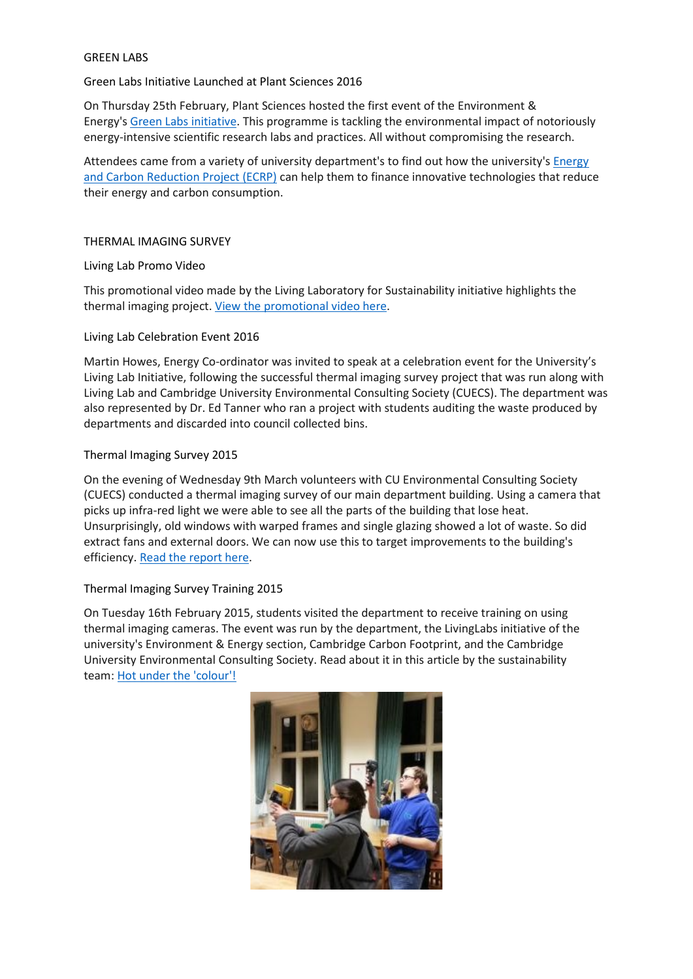### GREEN LABS

# Green Labs Initiative Launched at Plant Sciences 2016

On Thursday 25th February, Plant Sciences hosted the first event of the Environment & Energy's [Green Labs initiative.](https://www.environment.admin.cam.ac.uk/green-labs) This programme is tackling the environmental impact of notoriously energy-intensive scientific research labs and practices. All without compromising the research.

Attendees came from a variety of university department's to find out how the university's [Energy](https://www.environment.admin.cam.ac.uk/ecrp)  [and Carbon Reduction Project \(ECRP\)](https://www.environment.admin.cam.ac.uk/ecrp) can help them to finance innovative technologies that reduce their energy and carbon consumption.

### THERMAL IMAGING SURVEY

#### Living Lab Promo Video

This promotional video made by the Living Laboratory for Sustainability initiative highlights the thermal imaging project[. View the promotional video here.](https://www.youtube.com/watch?v=JBYn5cjzXWI)

#### Living Lab Celebration Event 2016

Martin Howes, Energy Co-ordinator was invited to speak at a celebration event for the University's Living Lab Initiative, following the successful thermal imaging survey project that was run along with Living Lab and Cambridge University Environmental Consulting Society (CUECS). The department was also represented by Dr. Ed Tanner who ran a project with students auditing the waste produced by departments and discarded into council collected bins.

# Thermal Imaging Survey 2015

On the evening of Wednesday 9th March volunteers with CU Environmental Consulting Society (CUECS) conducted a thermal imaging survey of our main department building. Using a camera that picks up infra-red light we were able to see all the parts of the building that lose heat. Unsurprisingly, old windows with warped frames and single glazing showed a lot of waste. So did extract fans and external doors. We can now use this to target improvements to the building's efficiency. [Read the report](https://www.plantsci.cam.ac.uk/system/files/documents/PlantSciThermalImagingSurveyReport03.16.pdf) here.

# Thermal Imaging Survey Training 2015

On Tuesday 16th February 2015, students visited the department to receive training on using thermal imaging cameras. The event was run by the department, the LivingLabs initiative of the university's Environment & Energy section, Cambridge Carbon Footprint, and the Cambridge University Environmental Consulting Society. Read about it in this article by the sustainability team: [Hot under the 'colour'!](https://www.environment.admin.cam.ac.uk/news/hot-under-colour)

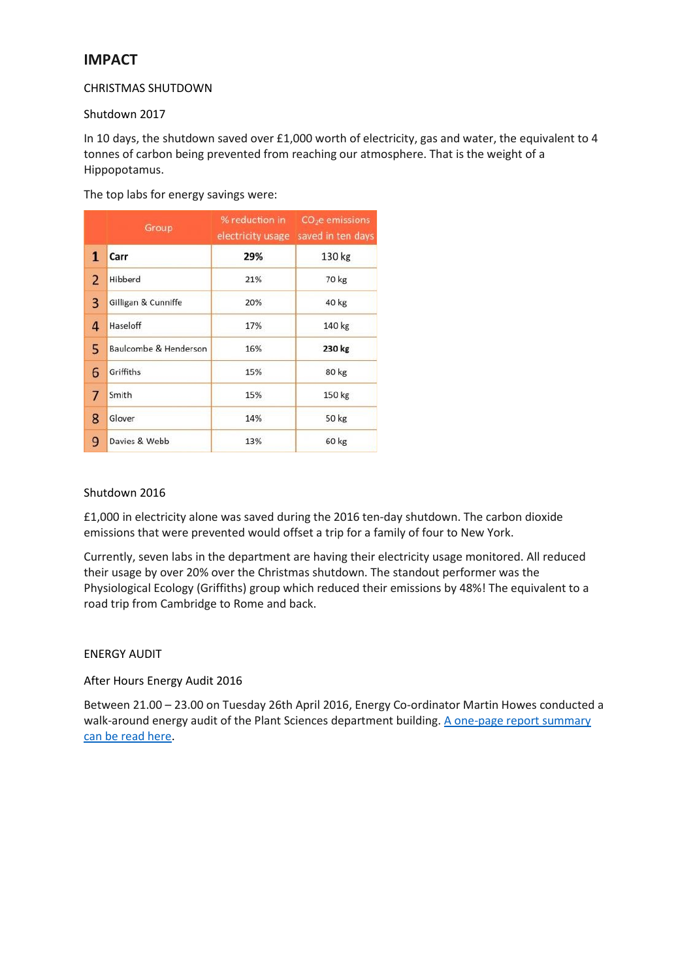# **IMPACT**

# CHRISTMAS SHUTDOWN

# Shutdown 2017

In 10 days, the shutdown saved over £1,000 worth of electricity, gas and water, the equivalent to 4 tonnes of carbon being prevented from reaching our atmosphere. That is the weight of a Hippopotamus.

The top labs for energy savings were:

|                | Group                 | % reduction in<br>electricity usage | $CO2e$ emissions<br>saved in ten days |
|----------------|-----------------------|-------------------------------------|---------------------------------------|
| 1              | Carr                  | 29%                                 | 130 kg                                |
| $\overline{2}$ | Hibberd               | 21%                                 | 70 kg                                 |
| 3              | Gilligan & Cunniffe   | 20%                                 | 40 kg                                 |
| 4              | Haseloff              | 17%                                 | 140 kg                                |
| 5              | Baulcombe & Henderson | 16%                                 | 230 kg                                |
| 6              | Griffiths             | 15%                                 | 80 kg                                 |
| 7              | Smith                 | 15%                                 | 150 kg                                |
| 8              | Glover                | 14%                                 | 50 kg                                 |
| 9              | Davies & Webb         | 13%                                 | 60 kg                                 |

# Shutdown 2016

£1,000 in electricity alone was saved during the 2016 ten-day shutdown. The carbon dioxide emissions that were prevented would offset a trip for a family of four to New York.

Currently, seven labs in the department are having their electricity usage monitored. All reduced their usage by over 20% over the Christmas shutdown. The standout performer was the Physiological Ecology (Griffiths) group which reduced their emissions by 48%! The equivalent to a road trip from Cambridge to Rome and back.

# ENERGY AUDIT

# After Hours Energy Audit 2016

Between 21.00 – 23.00 on Tuesday 26th April 2016, Energy Co-ordinator Martin Howes conducted a walk-around energy audit of the Plant Sciences department building. A [one-page report summary](https://www.plantsci.cam.ac.uk/system/files/documents/after-hours-energy-audit-report-28-04-2016.pdf)  [can be read here.](https://www.plantsci.cam.ac.uk/system/files/documents/after-hours-energy-audit-report-28-04-2016.pdf)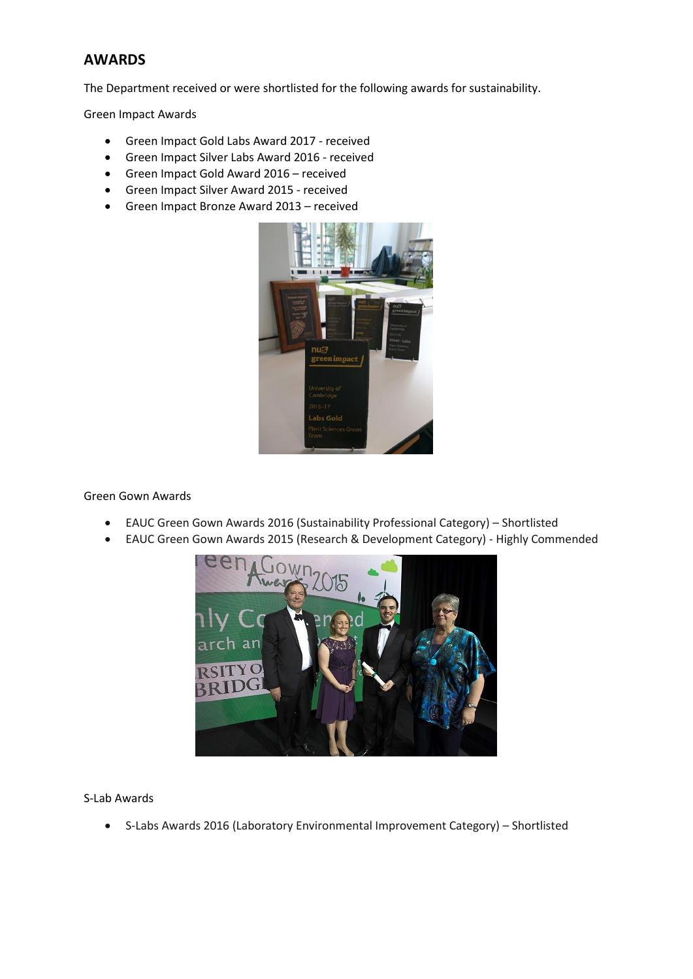# **AWARDS**

The Department received or were shortlisted for the following awards for sustainability.

Green Impact Awards

- Green Impact Gold Labs Award 2017 received
- Green Impact Silver Labs Award 2016 received
- Green Impact Gold Award 2016 received
- Green Impact Silver Award 2015 received
- Green Impact Bronze Award 2013 received



Green Gown Awards

- EAUC Green Gown Awards 2016 (Sustainability Professional Category) Shortlisted
- EAUC Green Gown Awards 2015 (Research & Development Category) Highly Commended



S-Lab Awards

• S-Labs Awards 2016 (Laboratory Environmental Improvement Category) – Shortlisted